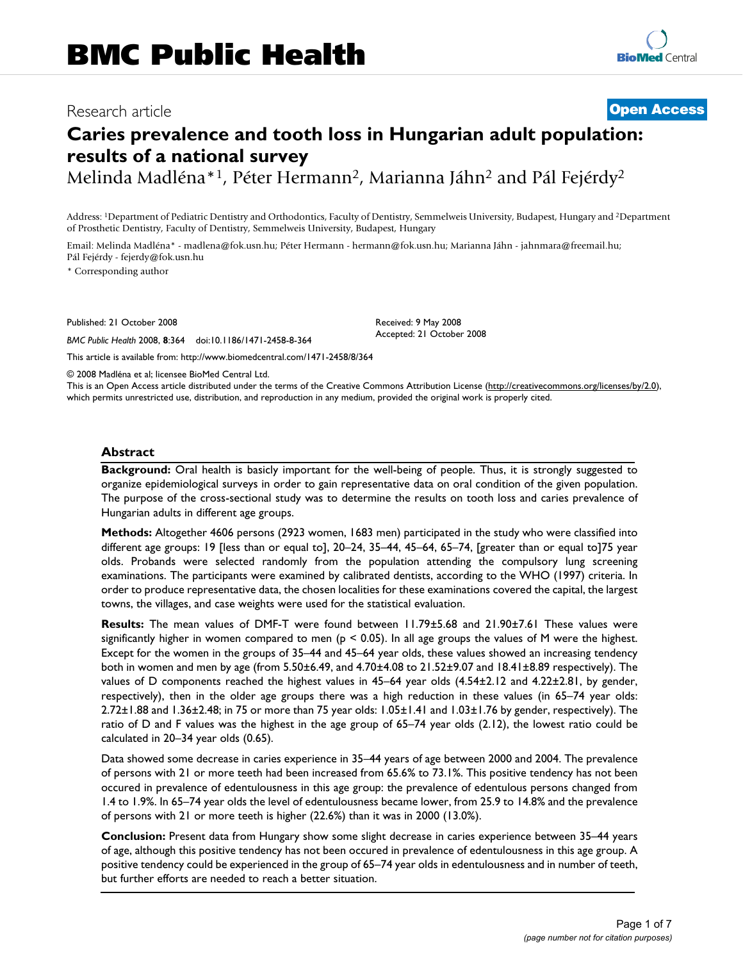# Research article **[Open Access](http://www.biomedcentral.com/info/about/charter/)**

# **Caries prevalence and tooth loss in Hungarian adult population: results of a national survey**

Melinda Madléna\*<sup>1</sup>, Péter Hermann<sup>2</sup>, Marianna Jáhn<sup>2</sup> and Pál Fejérdy<sup>2</sup>

Address: 1Department of Pediatric Dentistry and Orthodontics, Faculty of Dentistry, Semmelweis University, Budapest, Hungary and 2Department of Prosthetic Dentistry, Faculty of Dentistry, Semmelweis University, Budapest, Hungary

Email: Melinda Madléna\* - madlena@fok.usn.hu; Péter Hermann - hermann@fok.usn.hu; Marianna Jáhn - jahnmara@freemail.hu; Pál Fejérdy - fejerdy@fok.usn.hu

\* Corresponding author

Published: 21 October 2008

*BMC Public Health* 2008, **8**:364 doi:10.1186/1471-2458-8-364

[This article is available from: http://www.biomedcentral.com/1471-2458/8/364](http://www.biomedcentral.com/1471-2458/8/364)

© 2008 Madléna et al; licensee BioMed Central Ltd.

This is an Open Access article distributed under the terms of the Creative Commons Attribution License [\(http://creativecommons.org/licenses/by/2.0\)](http://creativecommons.org/licenses/by/2.0), which permits unrestricted use, distribution, and reproduction in any medium, provided the original work is properly cited.

Received: 9 May 2008 Accepted: 21 October 2008

#### **Abstract**

**Background:** Oral health is basicly important for the well-being of people. Thus, it is strongly suggested to organize epidemiological surveys in order to gain representative data on oral condition of the given population. The purpose of the cross-sectional study was to determine the results on tooth loss and caries prevalence of Hungarian adults in different age groups.

**Methods:** Altogether 4606 persons (2923 women, 1683 men) participated in the study who were classified into different age groups: 19 [less than or equal to], 20–24, 35–44, 45–64, 65–74, [greater than or equal to]75 year olds. Probands were selected randomly from the population attending the compulsory lung screening examinations. The participants were examined by calibrated dentists, according to the WHO (1997) criteria. In order to produce representative data, the chosen localities for these examinations covered the capital, the largest towns, the villages, and case weights were used for the statistical evaluation.

**Results:** The mean values of DMF-T were found between 11.79±5.68 and 21.90±7.61 These values were significantly higher in women compared to men ( $p < 0.05$ ). In all age groups the values of M were the highest. Except for the women in the groups of 35–44 and 45–64 year olds, these values showed an increasing tendency both in women and men by age (from 5.50±6.49, and 4.70±4.08 to 21.52±9.07 and 18.41±8.89 respectively). The values of D components reached the highest values in 45–64 year olds (4.54±2.12 and 4.22±2.81, by gender, respectively), then in the older age groups there was a high reduction in these values (in 65–74 year olds: 2.72±1.88 and 1.36±2.48; in 75 or more than 75 year olds: 1.05±1.41 and 1.03±1.76 by gender, respectively). The ratio of D and F values was the highest in the age group of 65–74 year olds (2.12), the lowest ratio could be calculated in 20–34 year olds (0.65).

Data showed some decrease in caries experience in 35–44 years of age between 2000 and 2004. The prevalence of persons with 21 or more teeth had been increased from 65.6% to 73.1%. This positive tendency has not been occured in prevalence of edentulousness in this age group: the prevalence of edentulous persons changed from 1.4 to 1.9%. In 65–74 year olds the level of edentulousness became lower, from 25.9 to 14.8% and the prevalence of persons with 21 or more teeth is higher (22.6%) than it was in 2000 (13.0%).

**Conclusion:** Present data from Hungary show some slight decrease in caries experience between 35–44 years of age, although this positive tendency has not been occured in prevalence of edentulousness in this age group. A positive tendency could be experienced in the group of 65–74 year olds in edentulousness and in number of teeth, but further efforts are needed to reach a better situation.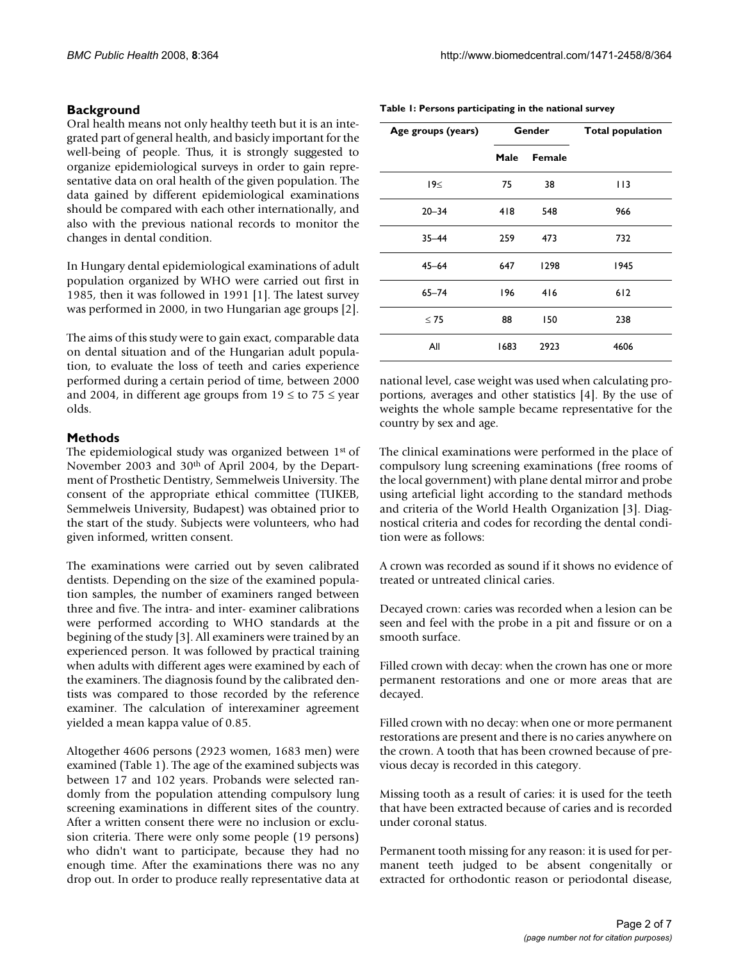## **Background**

Oral health means not only healthy teeth but it is an integrated part of general health, and basicly important for the well-being of people. Thus, it is strongly suggested to organize epidemiological surveys in order to gain representative data on oral health of the given population. The data gained by different epidemiological examinations should be compared with each other internationally, and also with the previous national records to monitor the changes in dental condition.

In Hungary dental epidemiological examinations of adult population organized by WHO were carried out first in 1985, then it was followed in 1991 [1]. The latest survey was performed in 2000, in two Hungarian age groups [2].

The aims of this study were to gain exact, comparable data on dental situation and of the Hungarian adult population, to evaluate the loss of teeth and caries experience performed during a certain period of time, between 2000 and 2004, in different age groups from  $19 \leq$  to  $75 \leq$  year olds.

#### **Methods**

The epidemiological study was organized between 1st of November 2003 and 30th of April 2004, by the Department of Prosthetic Dentistry, Semmelweis University. The consent of the appropriate ethical committee (TUKEB, Semmelweis University, Budapest) was obtained prior to the start of the study. Subjects were volunteers, who had given informed, written consent.

The examinations were carried out by seven calibrated dentists. Depending on the size of the examined population samples, the number of examiners ranged between three and five. The intra- and inter- examiner calibrations were performed according to WHO standards at the begining of the study [3]. All examiners were trained by an experienced person. It was followed by practical training when adults with different ages were examined by each of the examiners. The diagnosis found by the calibrated dentists was compared to those recorded by the reference examiner. The calculation of interexaminer agreement yielded a mean kappa value of 0.85.

Altogether 4606 persons (2923 women, 1683 men) were examined (Table 1). The age of the examined subjects was between 17 and 102 years. Probands were selected randomly from the population attending compulsory lung screening examinations in different sites of the country. After a written consent there were no inclusion or exclusion criteria. There were only some people (19 persons) who didn't want to participate, because they had no enough time. After the examinations there was no any drop out. In order to produce really representative data at

|  |  | Table 1: Persons participating in the national survey |
|--|--|-------------------------------------------------------|
|--|--|-------------------------------------------------------|

| Age groups (years) | Gender         |      | <b>Total population</b> |
|--------------------|----------------|------|-------------------------|
|                    | Male<br>Female |      |                         |
| 19<                | 75             | 38   | I I 3                   |
| $20 - 34$          | 418            | 548  | 966                     |
| $35 - 44$          | 259            | 473  | 732                     |
| $45 - 64$          | 647            | 1298 | 1945                    |
| $65 - 74$          | 196            | 416  | 612                     |
| $\leq 75$          | 88             | 150  | 238                     |
| All                | 1683           | 2923 | 4606                    |

national level, case weight was used when calculating proportions, averages and other statistics [4]. By the use of weights the whole sample became representative for the country by sex and age.

The clinical examinations were performed in the place of compulsory lung screening examinations (free rooms of the local government) with plane dental mirror and probe using arteficial light according to the standard methods and criteria of the World Health Organization [3]. Diagnostical criteria and codes for recording the dental condition were as follows:

A crown was recorded as sound if it shows no evidence of treated or untreated clinical caries.

Decayed crown: caries was recorded when a lesion can be seen and feel with the probe in a pit and fissure or on a smooth surface.

Filled crown with decay: when the crown has one or more permanent restorations and one or more areas that are decayed.

Filled crown with no decay: when one or more permanent restorations are present and there is no caries anywhere on the crown. A tooth that has been crowned because of previous decay is recorded in this category.

Missing tooth as a result of caries: it is used for the teeth that have been extracted because of caries and is recorded under coronal status.

Permanent tooth missing for any reason: it is used for permanent teeth judged to be absent congenitally or extracted for orthodontic reason or periodontal disease,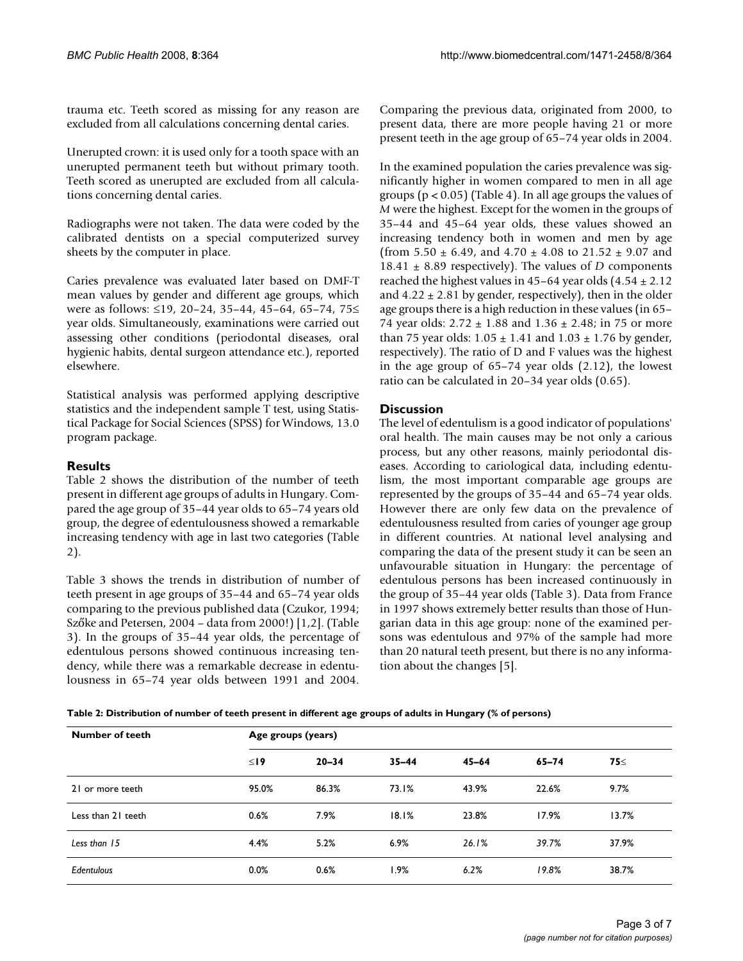trauma etc. Teeth scored as missing for any reason are excluded from all calculations concerning dental caries.

Unerupted crown: it is used only for a tooth space with an unerupted permanent teeth but without primary tooth. Teeth scored as unerupted are excluded from all calculations concerning dental caries.

Radiographs were not taken. The data were coded by the calibrated dentists on a special computerized survey sheets by the computer in place.

Caries prevalence was evaluated later based on DMF-T mean values by gender and different age groups, which were as follows: ≤19, 20–24, 35–44, 45–64, 65–74, 75≤ year olds. Simultaneously, examinations were carried out assessing other conditions (periodontal diseases, oral hygienic habits, dental surgeon attendance etc.), reported elsewhere.

Statistical analysis was performed applying descriptive statistics and the independent sample T test, using Statistical Package for Social Sciences (SPSS) for Windows, 13.0 program package.

#### **Results**

Table 2 shows the distribution of the number of teeth present in different age groups of adults in Hungary. Compared the age group of 35–44 year olds to 65–74 years old group, the degree of edentulousness showed a remarkable increasing tendency with age in last two categories (Table 2).

Table 3 shows the trends in distribution of number of teeth present in age groups of 35–44 and 65–74 year olds comparing to the previous published data (Czukor, 1994; Szőke and Petersen, 2004 – data from 2000!) [1,2]. (Table 3). In the groups of 35–44 year olds, the percentage of edentulous persons showed continuous increasing tendency, while there was a remarkable decrease in edentulousness in 65–74 year olds between 1991 and 2004. Comparing the previous data, originated from 2000, to present data, there are more people having 21 or more present teeth in the age group of 65–74 year olds in 2004.

In the examined population the caries prevalence was significantly higher in women compared to men in all age groups (p < 0.05) (Table 4). In all age groups the values of *M* were the highest. Except for the women in the groups of 35–44 and 45–64 year olds, these values showed an increasing tendency both in women and men by age (from  $5.50 \pm 6.49$ , and  $4.70 \pm 4.08$  to  $21.52 \pm 9.07$  and 18.41 ± 8.89 respectively). The values of *D* components reached the highest values in 45–64 year olds  $(4.54 \pm 2.12)$ and  $4.22 \pm 2.81$  by gender, respectively), then in the older age groups there is a high reduction in these values (in 65– 74 year olds: 2.72 ± 1.88 and 1.36 ± 2.48; in 75 or more than 75 year olds:  $1.05 \pm 1.41$  and  $1.03 \pm 1.76$  by gender, respectively). The ratio of D and F values was the highest in the age group of 65–74 year olds (2.12), the lowest ratio can be calculated in 20–34 year olds (0.65).

#### **Discussion**

The level of edentulism is a good indicator of populations' oral health. The main causes may be not only a carious process, but any other reasons, mainly periodontal diseases. According to cariological data, including edentulism, the most important comparable age groups are represented by the groups of 35–44 and 65–74 year olds. However there are only few data on the prevalence of edentulousness resulted from caries of younger age group in different countries. At national level analysing and comparing the data of the present study it can be seen an unfavourable situation in Hungary: the percentage of edentulous persons has been increased continuously in the group of 35–44 year olds (Table 3). Data from France in 1997 shows extremely better results than those of Hungarian data in this age group: none of the examined persons was edentulous and 97% of the sample had more than 20 natural teeth present, but there is no any information about the changes [5].

**Table 2: Distribution of number of teeth present in different age groups of adults in Hungary (% of persons)**

| Number of teeth    | Age groups (years) |           |           |           |       |       |
|--------------------|--------------------|-----------|-----------|-----------|-------|-------|
|                    | $\leq$ 19          | $20 - 34$ | $35 - 44$ | $45 - 64$ | 65-74 | 75≤   |
| 21 or more teeth   | 95.0%              | 86.3%     | 73.1%     | 43.9%     | 22.6% | 9.7%  |
| Less than 21 teeth | 0.6%               | 7.9%      | 18.1%     | 23.8%     | 17.9% | 13.7% |
| Less than 15       | 4.4%               | 5.2%      | 6.9%      | 26.1%     | 39.7% | 37.9% |
| Edentulous         | 0.0%               | 0.6%      | l.9%      | 6.2%      | 19.8% | 38.7% |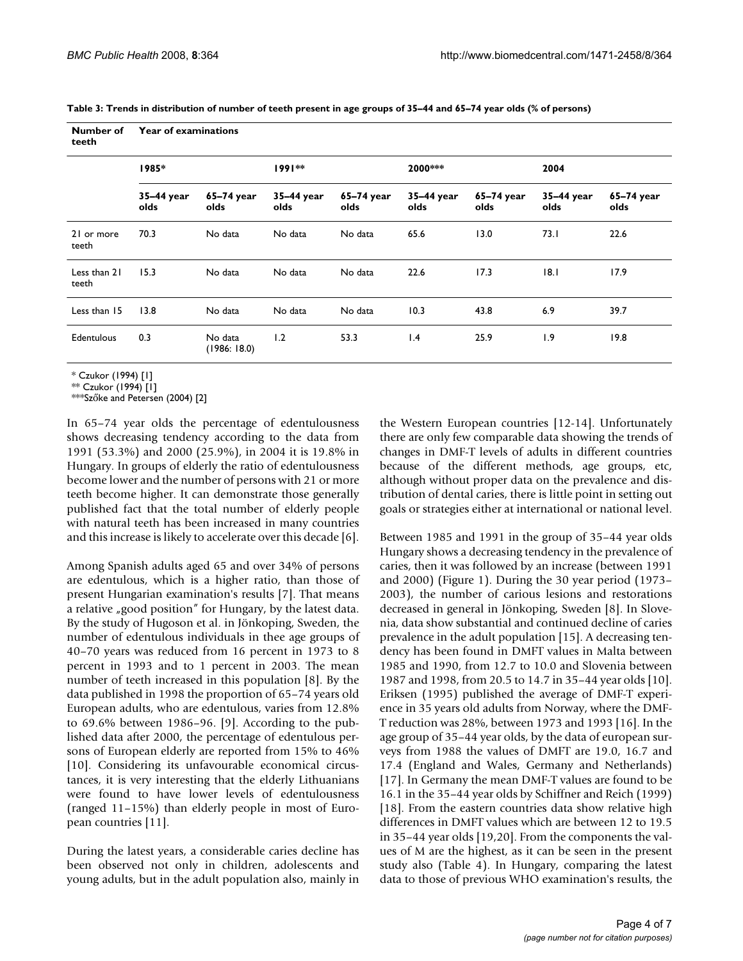| Table 3: Trends in distribution of number of teeth present in age groups of 35–44 and 65–74 year olds (% of persons) |  |
|----------------------------------------------------------------------------------------------------------------------|--|
|----------------------------------------------------------------------------------------------------------------------|--|

| Number of<br>teeth    | Year of examinations |                        |                    |                    |                    |                    |                    |                    |
|-----------------------|----------------------|------------------------|--------------------|--------------------|--------------------|--------------------|--------------------|--------------------|
|                       | 1985*                |                        | $1991**$           |                    | 2000***            |                    | 2004               |                    |
|                       | 35-44 year<br>olds   | 65-74 year<br>olds     | 35-44 year<br>olds | 65–74 year<br>olds | 35-44 year<br>olds | 65-74 year<br>olds | 35-44 year<br>olds | 65-74 year<br>olds |
| 21 or more<br>teeth   | 70.3                 | No data                | No data            | No data            | 65.6               | 13.0               | 73.1               | 22.6               |
| Less than 21<br>teeth | 15.3                 | No data                | No data            | No data            | 22.6               | 17.3               | 8.1                | 17.9               |
| Less than 15          | 13.8                 | No data                | No data            | No data            | 10.3               | 43.8               | 6.9                | 39.7               |
| Edentulous            | 0.3                  | No data<br>(1986:18.0) | 1.2                | 53.3               | $\mathsf{I}$ .4    | 25.9               | 1.9                | 19.8               |

\* Czukor (1994) [1]

\*\* Czukor (1994) [1]

\*\*\*Szőke and Petersen (2004) [2]

In 65–74 year olds the percentage of edentulousness shows decreasing tendency according to the data from 1991 (53.3%) and 2000 (25.9%), in 2004 it is 19.8% in Hungary. In groups of elderly the ratio of edentulousness become lower and the number of persons with 21 or more teeth become higher. It can demonstrate those generally published fact that the total number of elderly people with natural teeth has been increased in many countries and this increase is likely to accelerate over this decade [6].

Among Spanish adults aged 65 and over 34% of persons are edentulous, which is a higher ratio, than those of present Hungarian examination's results [7]. That means a relative "good position" for Hungary, by the latest data. By the study of Hugoson et al. in Jönkoping, Sweden, the number of edentulous individuals in thee age groups of 40–70 years was reduced from 16 percent in 1973 to 8 percent in 1993 and to 1 percent in 2003. The mean number of teeth increased in this population [8]. By the data published in 1998 the proportion of 65–74 years old European adults, who are edentulous, varies from 12.8% to 69.6% between 1986–96. [9]. According to the published data after 2000, the percentage of edentulous persons of European elderly are reported from 15% to 46% [10]. Considering its unfavourable economical circustances, it is very interesting that the elderly Lithuanians were found to have lower levels of edentulousness (ranged 11–15%) than elderly people in most of European countries [11].

During the latest years, a considerable caries decline has been observed not only in children, adolescents and young adults, but in the adult population also, mainly in

the Western European countries [12-14]. Unfortunately there are only few comparable data showing the trends of changes in DMF-T levels of adults in different countries because of the different methods, age groups, etc, although without proper data on the prevalence and distribution of dental caries, there is little point in setting out goals or strategies either at international or national level.

Between 1985 and 1991 in the group of 35–44 year olds Hungary shows a decreasing tendency in the prevalence of caries, then it was followed by an increase (between 1991 and 2000) (Figure 1). During the 30 year period (1973– 2003), the number of carious lesions and restorations decreased in general in Jönkoping, Sweden [8]. In Slovenia, data show substantial and continued decline of caries prevalence in the adult population [15]. A decreasing tendency has been found in DMFT values in Malta between 1985 and 1990, from 12.7 to 10.0 and Slovenia between 1987 and 1998, from 20.5 to 14.7 in 35–44 year olds [10]. Eriksen (1995) published the average of DMF-T experience in 35 years old adults from Norway, where the DMF-T reduction was 28%, between 1973 and 1993 [16]. In the age group of 35–44 year olds, by the data of european surveys from 1988 the values of DMFT are 19.0, 16.7 and 17.4 (England and Wales, Germany and Netherlands) [17]. In Germany the mean DMF-T values are found to be 16.1 in the 35–44 year olds by Schiffner and Reich (1999) [18]. From the eastern countries data show relative high differences in DMFT values which are between 12 to 19.5 in 35–44 year olds [19,20]. From the components the values of M are the highest, as it can be seen in the present study also (Table 4). In Hungary, comparing the latest data to those of previous WHO examination's results, the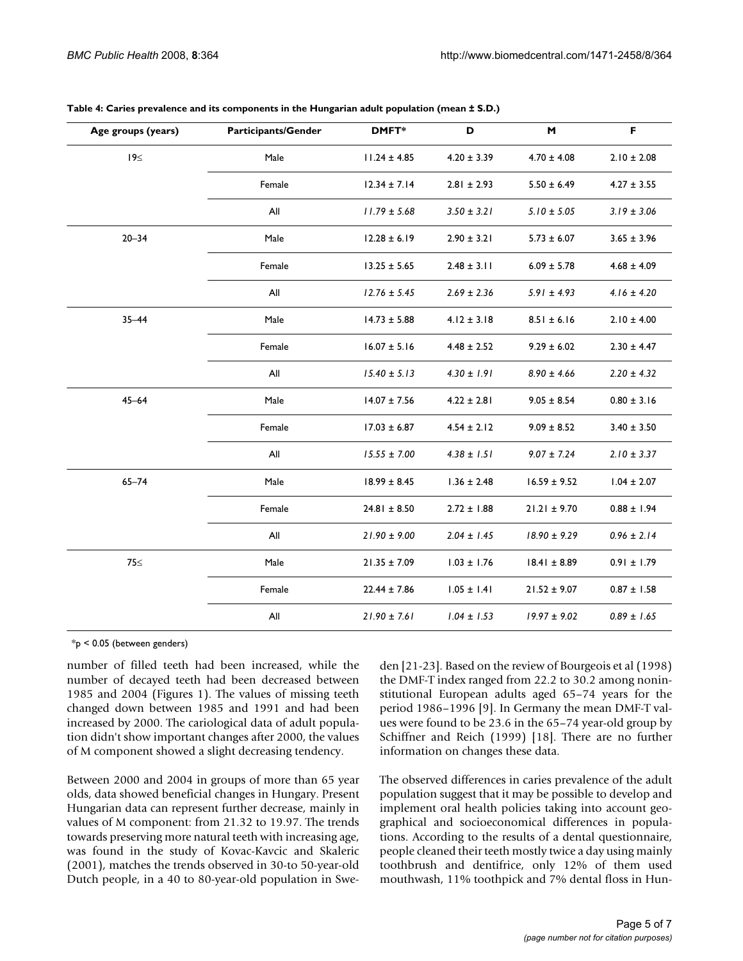| Age groups (years) | <b>Participants/Gender</b> | DMFT*            | D               | M                | F               |
|--------------------|----------------------------|------------------|-----------------|------------------|-----------------|
| 19≤                | Male                       | $11.24 \pm 4.85$ | $4.20 \pm 3.39$ | $4.70 \pm 4.08$  | $2.10 \pm 2.08$ |
|                    | Female                     | $12.34 \pm 7.14$ | $2.81 \pm 2.93$ | $5.50 \pm 6.49$  | $4.27 \pm 3.55$ |
|                    | All                        | $11.79 \pm 5.68$ | $3.50 \pm 3.21$ | $5.10 \pm 5.05$  | $3.19 \pm 3.06$ |
| $20 - 34$          | Male                       | $12.28 \pm 6.19$ | $2.90 \pm 3.21$ | $5.73 \pm 6.07$  | $3.65 \pm 3.96$ |
|                    | Female                     | $13.25 \pm 5.65$ | $2.48 \pm 3.11$ | $6.09 \pm 5.78$  | $4.68 \pm 4.09$ |
|                    | All                        | $12.76 \pm 5.45$ | $2.69 \pm 2.36$ | $5.91 \pm 4.93$  | $4.16 \pm 4.20$ |
| $35 - 44$          | Male                       | $14.73 \pm 5.88$ | $4.12 \pm 3.18$ | $8.51 \pm 6.16$  | $2.10 \pm 4.00$ |
|                    | Female                     | $16.07 \pm 5.16$ | $4.48 \pm 2.52$ | $9.29 \pm 6.02$  | $2.30 \pm 4.47$ |
|                    | All                        | $15.40 \pm 5.13$ | $4.30 \pm 1.91$ | $8.90 \pm 4.66$  | $2.20 \pm 4.32$ |
| $45 - 64$          | Male                       | $14.07 \pm 7.56$ | $4.22 \pm 2.81$ | $9.05 \pm 8.54$  | $0.80 \pm 3.16$ |
|                    | Female                     | $17.03 \pm 6.87$ | $4.54 \pm 2.12$ | $9.09 \pm 8.52$  | $3.40 \pm 3.50$ |
|                    | All                        | $15.55 \pm 7.00$ | $4.38 \pm 1.51$ | $9.07 \pm 7.24$  | $2.10 \pm 3.37$ |
| $65 - 74$          | Male                       | $18.99 \pm 8.45$ | $1.36 \pm 2.48$ | $16.59 \pm 9.52$ | $1.04 \pm 2.07$ |
|                    | Female                     | $24.81 \pm 8.50$ | $2.72 \pm 1.88$ | $21.21 \pm 9.70$ | $0.88 \pm 1.94$ |
|                    | All                        | $21.90 \pm 9.00$ | $2.04 \pm 1.45$ | $18.90 \pm 9.29$ | $0.96 \pm 2.14$ |
| 75<                | Male                       | $21.35 \pm 7.09$ | $1.03 \pm 1.76$ | $18.41 \pm 8.89$ | $0.91 \pm 1.79$ |
|                    | Female                     | $22.44 \pm 7.86$ | $1.05 \pm 1.41$ | $21.52 \pm 9.07$ | $0.87 \pm 1.58$ |
|                    | All                        | $21.90 \pm 7.61$ | $1.04 \pm 1.53$ | $19.97 \pm 9.02$ | $0.89 \pm 1.65$ |

| Table 4: Caries prevalence and its components in the Hungarian adult population (mean ± S.D.) |  |  |  |  |  |  |  |  |  |  |  |
|-----------------------------------------------------------------------------------------------|--|--|--|--|--|--|--|--|--|--|--|
|-----------------------------------------------------------------------------------------------|--|--|--|--|--|--|--|--|--|--|--|

\*p < 0.05 (between genders)

number of filled teeth had been increased, while the number of decayed teeth had been decreased between 1985 and 2004 (Figures 1). The values of missing teeth changed down between 1985 and 1991 and had been increased by 2000. The cariological data of adult population didn't show important changes after 2000, the values of M component showed a slight decreasing tendency.

Between 2000 and 2004 in groups of more than 65 year olds, data showed beneficial changes in Hungary. Present Hungarian data can represent further decrease, mainly in values of M component: from 21.32 to 19.97. The trends towards preserving more natural teeth with increasing age, was found in the study of Kovac-Kavcic and Skaleric (2001), matches the trends observed in 30-to 50-year-old Dutch people, in a 40 to 80-year-old population in Sweden [21-23]. Based on the review of Bourgeois et al (1998) the DMF-T index ranged from 22.2 to 30.2 among noninstitutional European adults aged 65–74 years for the period 1986–1996 [9]. In Germany the mean DMF-T values were found to be 23.6 in the 65–74 year-old group by Schiffner and Reich (1999) [18]. There are no further information on changes these data.

The observed differences in caries prevalence of the adult population suggest that it may be possible to develop and implement oral health policies taking into account geographical and socioeconomical differences in populations. According to the results of a dental questionnaire, people cleaned their teeth mostly twice a day using mainly toothbrush and dentifrice, only 12% of them used mouthwash, 11% toothpick and 7% dental floss in Hun-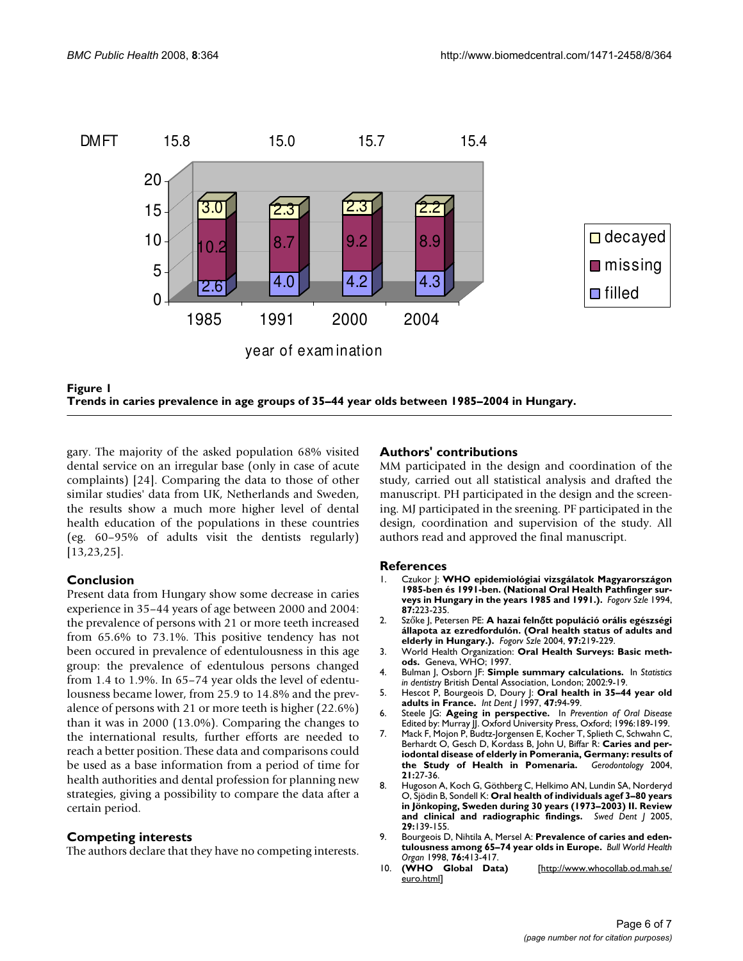

Trends in caries prevalence in age groups **Figure 1** of 35–44 year olds between 1985–2004 in Hungary **Trends in caries prevalence in age groups of 35–44 year olds between 1985–2004 in Hungary.**

gary. The majority of the asked population 68% visited dental service on an irregular base (only in case of acute complaints) [24]. Comparing the data to those of other similar studies' data from UK, Netherlands and Sweden, the results show a much more higher level of dental health education of the populations in these countries (eg. 60–95% of adults visit the dentists regularly) [13,23,25].

## **Conclusion**

Present data from Hungary show some decrease in caries experience in 35–44 years of age between 2000 and 2004: the prevalence of persons with 21 or more teeth increased from 65.6% to 73.1%. This positive tendency has not been occured in prevalence of edentulousness in this age group: the prevalence of edentulous persons changed from 1.4 to 1.9%. In 65–74 year olds the level of edentulousness became lower, from 25.9 to 14.8% and the prevalence of persons with 21 or more teeth is higher (22.6%) than it was in 2000 (13.0%). Comparing the changes to the international results, further efforts are needed to reach a better position. These data and comparisons could be used as a base information from a period of time for health authorities and dental profession for planning new strategies, giving a possibility to compare the data after a certain period.

#### **Competing interests**

The authors declare that they have no competing interests.

#### **Authors' contributions**

MM participated in the design and coordination of the study, carried out all statistical analysis and drafted the manuscript. PH participated in the design and the screening. MJ participated in the sreening. PF participated in the design, coordination and supervision of the study. All authors read and approved the final manuscript.

#### **References**

- 1. Czukor J: **WHO epidemiológiai vizsgálatok Magyarországon 1985-ben és 1991-ben. (National Oral Health Pathfinger surveys in Hungary in the years 1985 and 1991.).** *Fogorv Szle* 1994, **87:**223-235.
- 2. Szőke J, Petersen PE: **A hazai feln**ő**tt populáció orális egészségi állapota az ezredfordulón. (Oral health status of adults and elderly in Hungary.).** *Fogorv Szle* 2004, **97:**219-229.
- 3. World Health Organization: **Oral Health Surveys: Basic methods.** Geneva, WHO; 1997.
- 4. Bulman J, Osborn JF: **Simple summary calculations.** In *Statistics in dentistry* British Dental Association, London; 2002:9-19.
- 5. Hescot P, Bourgeois D, Doury J: Oral health in 35-44 year old **[adults in France.](http://www.ncbi.nlm.nih.gov/entrez/query.fcgi?cmd=Retrieve&db=PubMed&dopt=Abstract&list_uids=9448793)** *Int Dent J* 1997, **47:**94-99.
- 6. Steele JG: **Ageing in perspective.** In *Prevention of Oral Disease* Edited by: Murray JJ. Oxford University Press, Oxford; 1996:189-199.
- 7. Mack F, Mojon P, Budtz-Jorgensen E, Kocher T, Splieth C, Schwahn C, Berhardt O, Gesch D, Kordass B, John U, Biffar R: **[Caries and per](http://www.ncbi.nlm.nih.gov/entrez/query.fcgi?cmd=Retrieve&db=PubMed&dopt=Abstract&list_uids=15074537)[iodontal disease of elderly in Pomerania, Germany: results of](http://www.ncbi.nlm.nih.gov/entrez/query.fcgi?cmd=Retrieve&db=PubMed&dopt=Abstract&list_uids=15074537)** [the Study of Health in Pomenaria.](http://www.ncbi.nlm.nih.gov/entrez/query.fcgi?cmd=Retrieve&db=PubMed&dopt=Abstract&list_uids=15074537) **21:**27-36.
- 8. Hugoson A, Koch G, Göthberg C, Helkimo AN, Lundin SA, Norderyd O, Sjödin B, Sondell K: **[Oral health of individuals agef 3–80 years](http://www.ncbi.nlm.nih.gov/entrez/query.fcgi?cmd=Retrieve&db=PubMed&dopt=Abstract&list_uids=16463570) [in Jönkoping, Sweden during 30 years \(1973–2003\) II. Review](http://www.ncbi.nlm.nih.gov/entrez/query.fcgi?cmd=Retrieve&db=PubMed&dopt=Abstract&list_uids=16463570) [and clinical and radiographic findings.](http://www.ncbi.nlm.nih.gov/entrez/query.fcgi?cmd=Retrieve&db=PubMed&dopt=Abstract&list_uids=16463570)** *Swed Dent J* 2005, **29:**139-155.
- 9. Bourgeois D, Nihtila A, Mersel A: **[Prevalence of caries and eden](http://www.ncbi.nlm.nih.gov/entrez/query.fcgi?cmd=Retrieve&db=PubMed&dopt=Abstract&list_uids=9803592)[tulousness among 65–74 year olds in Europe.](http://www.ncbi.nlm.nih.gov/entrez/query.fcgi?cmd=Retrieve&db=PubMed&dopt=Abstract&list_uids=9803592)** *Bull World Health Organ* 1998, **76:**413-417.
- 10. **(WHO Global Data)** [[http://www.whocollab.od.mah.se/](http://www.whocollab.od.mah.se/euro.html) [euro.html\]](http://www.whocollab.od.mah.se/euro.html)